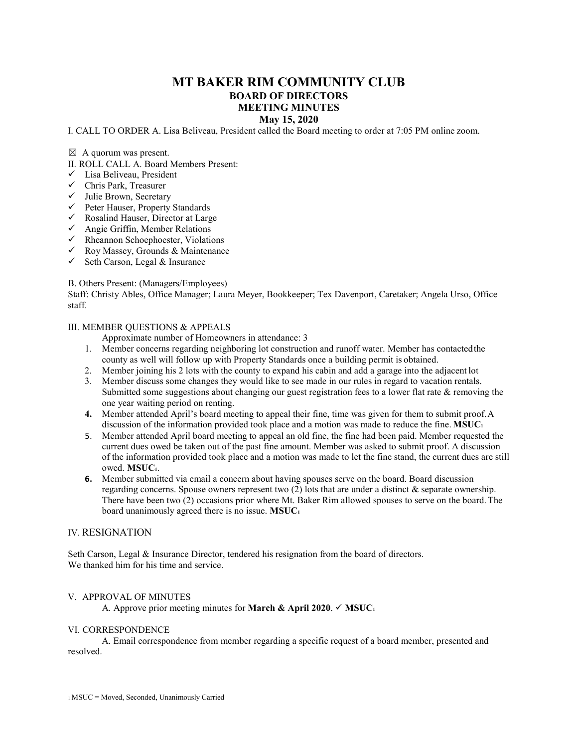# **MT BAKER RIM COMMUNITY CLUB BOARD OF DIRECTORS MEETING MINUTES May 15, 2020**

## I. CALL TO ORDER A. Lisa Beliveau, President called the Board meeting to order at 7:05 PM online zoom.

#### $\boxtimes$  A quorum was present.

II. ROLL CALL A. Board Members Present:

- $\checkmark$  Lisa Beliveau, President
- Chris Park, Treasurer
- $\checkmark$  Julie Brown, Secretary
- Peter Hauser, Property Standards
- $\checkmark$  Rosalind Hauser, Director at Large
- $\checkmark$  Angie Griffin, Member Relations
- $\checkmark$  Rheannon Schoephoester, Violations
- $\checkmark$  Roy Massey, Grounds & Maintenance
- $\checkmark$  Seth Carson, Legal & Insurance

### B. Others Present: (Managers/Employees)

Staff: Christy Ables, Office Manager; Laura Meyer, Bookkeeper; Tex Davenport, Caretaker; Angela Urso, Office staff.

#### III. MEMBER QUESTIONS & APPEALS

Approximate number of Homeowners in attendance: 3

- 1. Member concerns regarding neighboring lot construction and runoff water. Member has contactedthe county as well will follow up with Property Standards once a building permit is obtained.
- 2. Member joining his 2 lots with the county to expand his cabin and add a garage into the adjacent lot
- 3. Member discuss some changes they would like to see made in our rules in regard to vacation rentals. Submitted some suggestions about changing our guest registration fees to a lower flat rate  $\&$  removing the one year waiting period on renting.
- **4.** Member attended April's board meeting to appeal their fine, time was given for them to submit proof.A discussion of the information provided took place and a motion was made to reduce the fine. **MSUC1**
- 5. Member attended April board meeting to appeal an old fine, the fine had been paid. Member requested the current dues owed be taken out of the past fine amount. Member was asked to submit proof. A discussion of the information provided took place and a motion was made to let the fine stand, the current dues are still owed. **MSUC1**.
- **6.** Member submitted via email a concern about having spouses serve on the board. Board discussion regarding concerns. Spouse owners represent two  $(2)$  lots that are under a distinct & separate ownership. There have been two (2) occasions prior where Mt. Baker Rim allowed spouses to serve on the board.The board unanimously agreed there is no issue. **MSUC1**

## IV. RESIGNATION

Seth Carson, Legal & Insurance Director, tendered his resignation from the board of directors. We thanked him for his time and service.

#### V. APPROVAL OF MINUTES

A. Approve prior meeting minutes for **March & April 2020**.  $\checkmark$  **MSUC**<sup>1</sup>

#### VI. CORRESPONDENCE

A. Email correspondence from member regarding a specific request of a board member, presented and resolved.